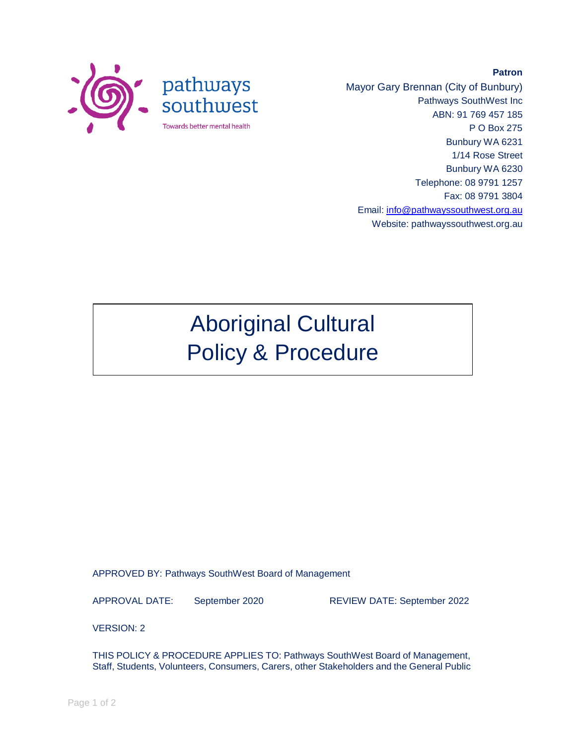

Mayor Gary Brennan (City of Bunbury) Pathways SouthWest Inc ABN: 91 769 457 185 P O Box 275 Bunbury WA 6231 1/14 Rose Street Bunbury WA 6230 Telephone: 08 9791 1257 Fax: 08 9791 3804 Email: [info@pathwayssouthwest.org.au](mailto:info@pathwayssouthwest.org.au) Website: pathwayssouthwest.org.au

**Patron**

# Aboriginal Cultural Policy & Procedure

APPROVED BY: Pathways SouthWest Board of Management

APPROVAL DATE: September 2020 REVIEW DATE: September 2022

VERSION: 2

THIS POLICY & PROCEDURE APPLIES TO: Pathways SouthWest Board of Management, Staff, Students, Volunteers, Consumers, Carers, other Stakeholders and the General Public